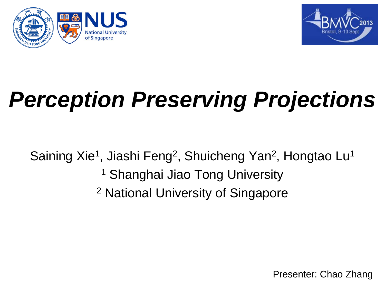



# *Perception Preserving Projections*

Saining Xie<sup>1</sup>, Jiashi Feng<sup>2</sup>, Shuicheng Yan<sup>2</sup>, Hongtao Lu<sup>1</sup> <sup>1</sup> Shanghai Jiao Tong University <sup>2</sup> National University of Singapore

Presenter: Chao Zhang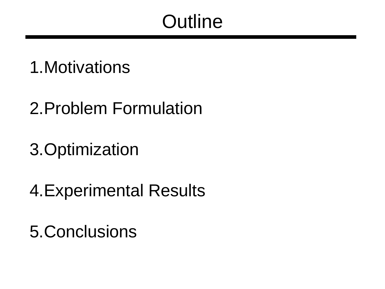## **Outline**

- 1.Motivations
- 2.Problem Formulation
- 3.Optimization
- 4.Experimental Results
- 5.Conclusions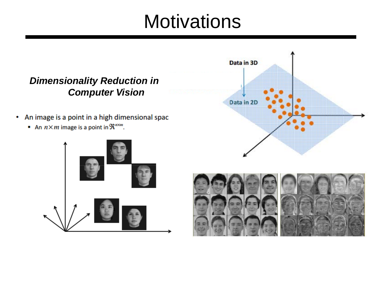### **Motivations**

#### *Dimensionality Reduction in Computer Vision*

- An image is a point in a high dimensional spac
	- An  $n \times m$  image is a point in  $\mathfrak{R}^{n \times m}$ .





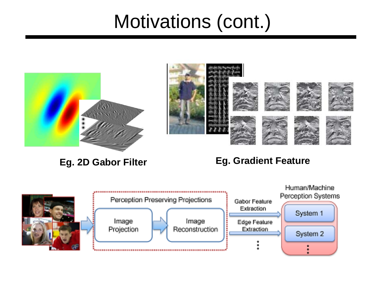## Motivations (cont.)



#### **Eg. 2D Gabor Filter Eg. Gradient Feature**

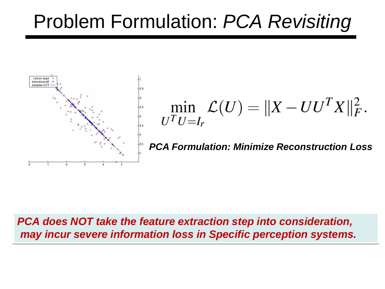## Problem Formulation: *PCA Revisiting*



$$
\min_{U^{T}U=I_{r}} \mathcal{L}(U) = ||X - U U^{T} X||_{F}^{2}.
$$

*PCA Formulation: Minimize Reconstruction Loss*

#### *PCA does NOT take the feature extraction step into consideration, may incur severe information loss in Specific perception systems.*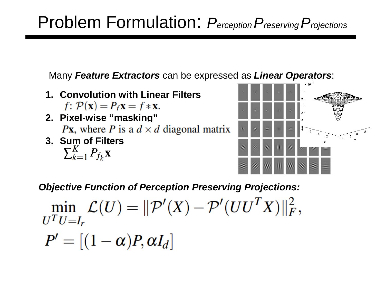### Problem Formulation: *PerceptionPreservingProjections*

Many *Feature Extractors* can be expressed as *Linear Operators*:

- **1. Convolution with Linear Filters**  $f: \mathcal{P}(\mathbf{x}) = P_f \mathbf{x} = f * \mathbf{x}.$
- **2. Pixel-wise "masking" Px**, where P is a  $d \times d$  diagonal matrix
- **3. Sum of Filters**<br> $\sum_{k=1}^{K} P_{f_k} \mathbf{X}$



*Objective Function of Perception Preserving Projections:*

 $\min_{x \in \mathcal{F}} \mathcal{L}(U) = ||\mathcal{P}'(X) - \mathcal{P}'(UU^T X)||_F^2,$  $U^T U = I_r$ 

 $P' = [(1-\alpha)P, \alpha I_d]$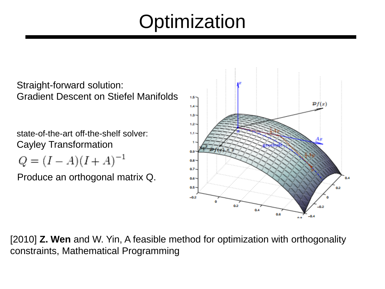## **Optimization**

Straight-forward solution: Gradient Descent on Stiefel Manifolds

state-of-the-art off-the-shelf solver: Cayley Transformation

$$
Q = (I - A)(I + A)^{-1}
$$

Produce an orthogonal matrix Q.



[2010] **Z. Wen** and W. Yin, A feasible method for optimization with orthogonality constraints, Mathematical Programming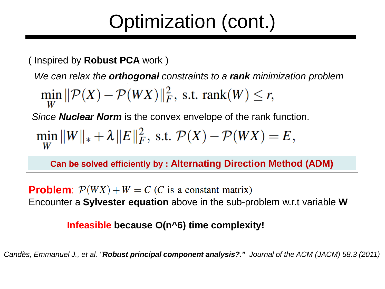## Optimization (cont.)

( Inspired by **Robust PCA** work )

*We can relax the orthogonal constraints to a rank minimization problem*

$$
\min_{W} \|\mathcal{P}(X) - \mathcal{P}(WX)\|_F^2
$$
, s.t. rank(W)  $\leq r$ ,

*Since Nuclear Norm* is the convex envelope of the rank function.

$$
\min_{W} \|W\|_{*} + \lambda \|E\|_{F}^{2}, \text{ s.t. } \mathcal{P}(X) - \mathcal{P}(WX) = E,
$$

**Can be solved efficiently by : Alternating Direction Method (ADM)** 

**Problem**:  $P(WX) + W = C$  (*C* is a constant matrix) Encounter a **Sylvester equation** above in the sub-problem w.r.t variable **W**

#### **Infeasible because O(n^6) time complexity!**

*Candès, Emmanuel J., et al. "Robust principal component analysis?." Journal of the ACM (JACM) 58.3 (2011)*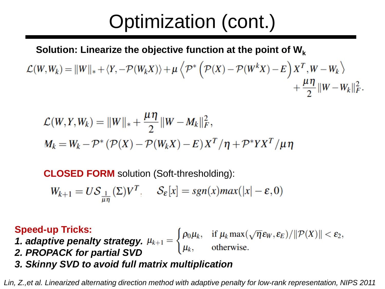## Optimization (cont.)

**Solution: Linearize the objective function at the point of Wk**

$$
\mathcal{L}(W,W_k) = \|W\|_{*} + \langle Y, -\mathcal{P}(W_k X)\rangle + \mu \left\langle \mathcal{P}^*\left(\mathcal{P}(X) - \mathcal{P}(W^k X) - E\right)X^T, W - W_k \right\rangle + \frac{\mu \eta}{2} \|W - W_k\|_F^2.
$$

$$
\mathcal{L}(W, Y, W_k) = ||W||_* + \frac{\mu \eta}{2} ||W - M_k||_F^2,
$$
  

$$
M_k = W_k - \mathcal{P}^* (\mathcal{P}(X) - \mathcal{P}(W_k X) - E) X^T / \eta + \mathcal{P}^* Y X^T / \mu \eta
$$

**CLOSED FORM** solution (Soft-thresholding):

$$
W_{k+1} = U\mathcal{S}_{\frac{1}{\mu\eta}}(\Sigma)V^{T}, \quad \mathcal{S}_{\varepsilon}[x] = sgn(x)max(|x| - \varepsilon, 0)
$$

#### **Speed-up Tricks:**

*1. adaptive penalty strategy.*

- *2. PROPACK for partial SVD*
- *3. Skinny SVD to avoid full matrix multiplication*

*Lin, Z.,et al. Linearized alternating direction method with adaptive penalty for low-rank representation, NIPS 2011*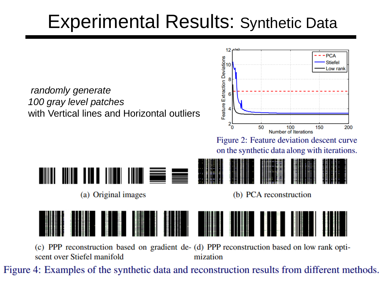## Experimental Results: Synthetic Data

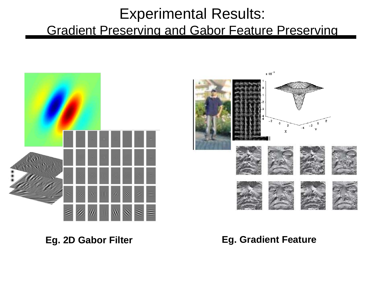#### Experimental Results: Gradient Preserving and Gabor Feature Preserving



#### **Eg. 2D Gabor Filter Eg. Gradient Feature**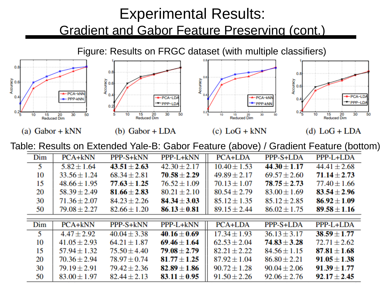### Experimental Results: Gradient and Gabor Feature Preserving (cont.)

Figure: Results on FRGC dataset (with multiple classifiers) $0.8$  $0.8$  $0.8$ Accuracy<br>a<br>a Accuracy<br>
0.6 Accuracy<br>2<br>2 Accuracy  $0.6$ PCA-kNN  $0.4$  $PCA-ID$  $0.4$ PCA-kNN PCA-LD PPP-kNN  $0.4$ -PPP-LD PPP-LD PPP-kNN  $0.2$  $0.2\frac{1}{5}$  $0.2\frac{1}{5}$ 5  $10$ 15 20 30 50 20 30 50 30 30 10 15 10 15 20 50 10 15 20 50 **Reduced Dim Reduced Dim Reduced Dim Reduced Dim** 

Table: Results on Extended Yale-B: Gabor Feature (above) / Gradient Feature (bottom)

 $(c)$  LoG + kNN

(d)  $LoG + LDA$ 

 $(b)$  Gabor + LDA

(a) Gabor +  $kNN$ 

| Dim | PCA+kNN          | PPP-S+kNN        | PPP-L+kNN        | <b>PCA+LDA</b>   | PPP-S+LDA        | PPP-L+LDA        |
|-----|------------------|------------------|------------------|------------------|------------------|------------------|
| 5   | $5.82 \pm 1.64$  | $43.51 \pm 2.63$ | $42.30 \pm 2.17$ | $10.40 \pm 1.53$ | $44.30 \pm 1.17$ | $44.41 \pm 2.68$ |
| 10  | $33.56 \pm 1.24$ | $68.34 \pm 2.81$ | $70.58 \pm 2.29$ | $49.89 \pm 2.17$ | $69.57 \pm 2.60$ | $71.14 \pm 2.73$ |
| 15  | $48.66 \pm 1.95$ | $77.63 \pm 1.25$ | $76.52 \pm 1.09$ | $70.13 \pm 1.07$ | $78.75 \pm 2.73$ | $77.40 \pm 1.66$ |
| 20  | $58.39 \pm 2.49$ | $81.66 \pm 2.83$ | $80.21 \pm 2.10$ | $80.54 \pm 2.79$ | $83.00 \pm 1.69$ | $83.54 \pm 2.96$ |
| 30  | $71.36 \pm 2.07$ | $84.23 \pm 2.26$ | $84.34 \pm 3.03$ | $85.12 \pm 1.35$ | $85.12 \pm 2.85$ | $86.92 \pm 1.09$ |
| 50  | $79.08 \pm 2.27$ | $82.66 \pm 1.20$ | $86.13 \pm 0.81$ | $89.15 \pm 2.44$ | $86.02 \pm 1.75$ | $89.58 \pm 1.16$ |
|     |                  |                  |                  |                  |                  |                  |
| Dim | $PCA+kNN$        | PPP-S+kNN        | PPP-L+kNN        | <b>PCA+LDA</b>   | PPP-S+LDA        | PPP-L+LDA        |
| 5   | $4.47 \pm 2.92$  | $40.04 \pm 3.38$ | $40.16 \pm 0.69$ | $17.34 \pm 1.93$ | $36.13 \pm 3.17$ | $38.59 \pm 1.77$ |
| 10  | $41.05 \pm 2.93$ | $64.21 \pm 1.87$ | $69.46 \pm 1.64$ | $62.53 \pm 2.04$ | $74.83 \pm 3.28$ | $72.71 \pm 2.62$ |
| 15  | $57.94 \pm 1.32$ | $75.50 \pm 4.40$ | $79.08 \pm 2.79$ | $82.21 \pm 2.22$ | $84.56 \pm 1.15$ | $87.81 \pm 1.68$ |
| 20  | $70.36 \pm 2.94$ | $78.97 \pm 0.74$ | $81.77 \pm 1.25$ | $87.92 \pm 1.04$ | $86.80 \pm 2.21$ | $91.05 \pm 1.38$ |
| 30  | $79.19 \pm 2.91$ | $79.42 \pm 2.36$ | $82.89 \pm 1.86$ | $90.72 \pm 1.28$ | $90.04 \pm 2.06$ | $91.39 \pm 1.77$ |
| 50  | $83.00 \pm 1.97$ | $82.44 \pm 2.13$ | $83.11 \pm 0.95$ | $91.50 \pm 2.26$ | $92.06 \pm 2.76$ | $92.17 \pm 2.45$ |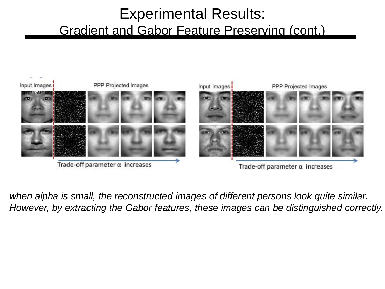#### Experimental Results: Gradient and Gabor Feature Preserving (cont.)



*when alpha is small, the reconstructed images of different persons look quite similar. However, by extracting the Gabor features, these images can be distinguished correctly.*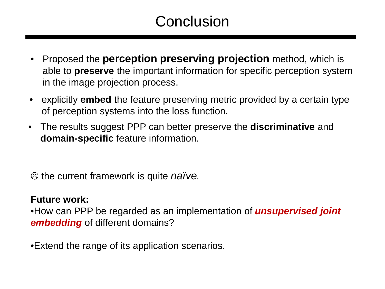### **Conclusion**

- Proposed the **perception preserving projection** method, which is able to **preserve** the important information for specific perception system in the image projection process.
- explicitly **embed** the feature preserving metric provided by a certain type of perception systems into the loss function.
- The results suggest PPP can better preserve the **discriminative** and **domain-specific** feature information.

the current framework is quite *naïve.*

#### **Future work:**

•How can PPP be regarded as an implementation of *unsupervised joint embedding* of different domains?

•Extend the range of its application scenarios.